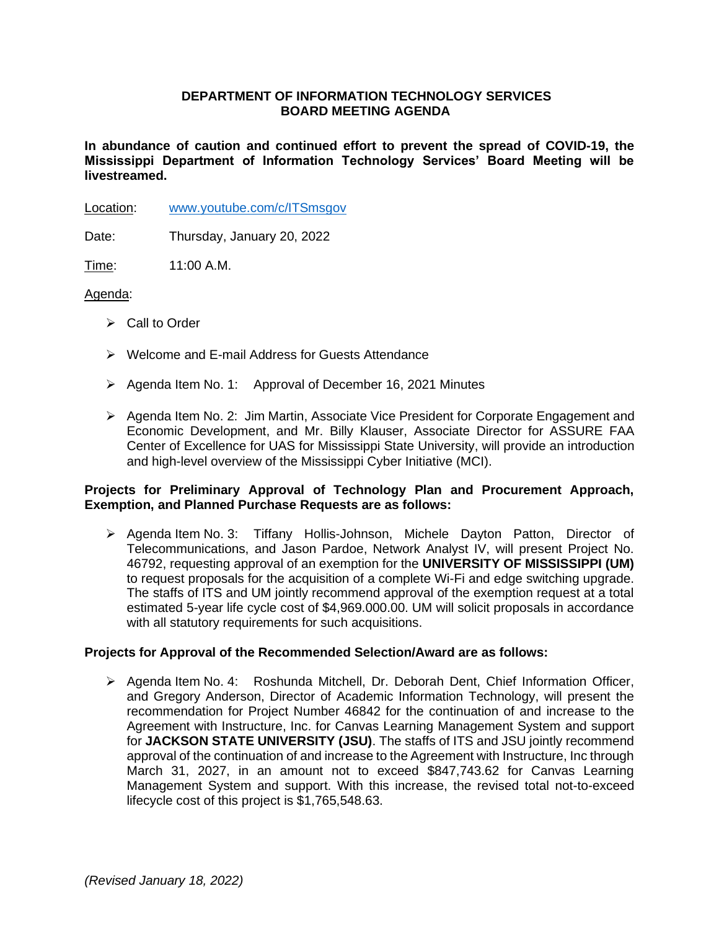# **DEPARTMENT OF INFORMATION TECHNOLOGY SERVICES BOARD MEETING AGENDA**

**In abundance of caution and continued effort to prevent the spread of COVID-19, the Mississippi Department of Information Technology Services' Board Meeting will be livestreamed.** 

Location: [www.youtube.com/c/ITSmsgov](http://www.youtube.com/c/ITSmsgov)

Date: Thursday, January 20, 2022

Time: 11:00 A.M.

# Agenda:

- ➢ Call to Order
- ➢ Welcome and E-mail Address for Guests Attendance
- ➢ Agenda Item No. 1: Approval of December 16, 2021 Minutes
- ➢ Agenda Item No. 2: Jim Martin, Associate Vice President for Corporate Engagement and Economic Development, and Mr. Billy Klauser, Associate Director for ASSURE FAA Center of Excellence for UAS for Mississippi State University, will provide an introduction and high-level overview of the Mississippi Cyber Initiative (MCI).

### **Projects for Preliminary Approval of Technology Plan and Procurement Approach, Exemption, and Planned Purchase Requests are as follows:**

➢ Agenda Item No. 3: Tiffany Hollis-Johnson, Michele Dayton Patton, Director of Telecommunications, and Jason Pardoe, Network Analyst IV, will present Project No. 46792, requesting approval of an exemption for the **UNIVERSITY OF MISSISSIPPI (UM)** to request proposals for the acquisition of a complete Wi-Fi and edge switching upgrade. The staffs of ITS and UM jointly recommend approval of the exemption request at a total estimated 5-year life cycle cost of \$4,969.000.00. UM will solicit proposals in accordance with all statutory requirements for such acquisitions.

### **Projects for Approval of the Recommended Selection/Award are as follows:**

➢ Agenda Item No. 4: Roshunda Mitchell, Dr. Deborah Dent, Chief Information Officer, and Gregory Anderson, Director of Academic Information Technology, will present the recommendation for Project Number 46842 for the continuation of and increase to the Agreement with Instructure, Inc. for Canvas Learning Management System and support for **JACKSON STATE UNIVERSITY (JSU)**. The staffs of ITS and JSU jointly recommend approval of the continuation of and increase to the Agreement with Instructure, Inc through March 31, 2027, in an amount not to exceed \$847,743.62 for Canvas Learning Management System and support. With this increase, the revised total not-to-exceed lifecycle cost of this project is \$1,765,548.63.